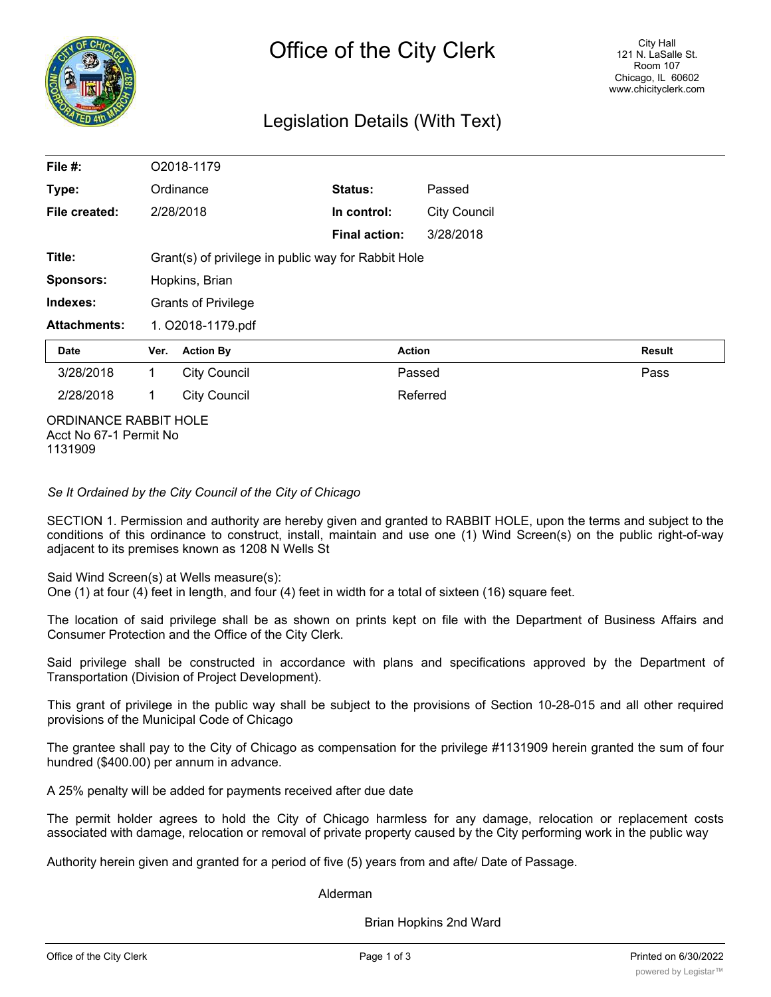

# Legislation Details (With Text)

| File #:               | O2018-1179                                          |                     |                      |               |                     |        |
|-----------------------|-----------------------------------------------------|---------------------|----------------------|---------------|---------------------|--------|
| Type:                 | Ordinance                                           |                     | Status:              |               | Passed              |        |
| File created:         |                                                     | 2/28/2018           | In control:          |               | <b>City Council</b> |        |
|                       |                                                     |                     | <b>Final action:</b> |               | 3/28/2018           |        |
| Title:                | Grant(s) of privilege in public way for Rabbit Hole |                     |                      |               |                     |        |
| <b>Sponsors:</b>      | Hopkins, Brian                                      |                     |                      |               |                     |        |
| Indexes:              | <b>Grants of Privilege</b>                          |                     |                      |               |                     |        |
| <b>Attachments:</b>   | 1. O2018-1179.pdf                                   |                     |                      |               |                     |        |
| <b>Date</b>           | Ver.                                                | <b>Action By</b>    |                      | <b>Action</b> |                     | Result |
| 3/28/2018             | 1                                                   | <b>City Council</b> |                      |               | Passed              | Pass   |
| 2/28/2018             | <b>City Council</b><br>1                            |                     |                      |               | Referred            |        |
| ORDINANCE RABBIT HOLE |                                                     |                     |                      |               |                     |        |

Acct No 67-1 Permit No 1131909

*Se It Ordained by the City Council of the City of Chicago*

SECTION 1. Permission and authority are hereby given and granted to RABBIT HOLE, upon the terms and subject to the conditions of this ordinance to construct, install, maintain and use one (1) Wind Screen(s) on the public right-of-way adjacent to its premises known as 1208 N Wells St

Said Wind Screen(s) at Wells measure(s):

One (1) at four (4) feet in length, and four (4) feet in width for a total of sixteen (16) square feet.

The location of said privilege shall be as shown on prints kept on file with the Department of Business Affairs and Consumer Protection and the Office of the City Clerk.

Said privilege shall be constructed in accordance with plans and specifications approved by the Department of Transportation (Division of Project Development).

This grant of privilege in the public way shall be subject to the provisions of Section 10-28-015 and all other required provisions of the Municipal Code of Chicago

The grantee shall pay to the City of Chicago as compensation for the privilege #1131909 herein granted the sum of four hundred (\$400.00) per annum in advance.

A 25% penalty will be added for payments received after due date

The permit holder agrees to hold the City of Chicago harmless for any damage, relocation or replacement costs associated with damage, relocation or removal of private property caused by the City performing work in the public way

Authority herein given and granted for a period of five (5) years from and afte/ Date of Passage.

Alderman

Brian Hopkins 2nd Ward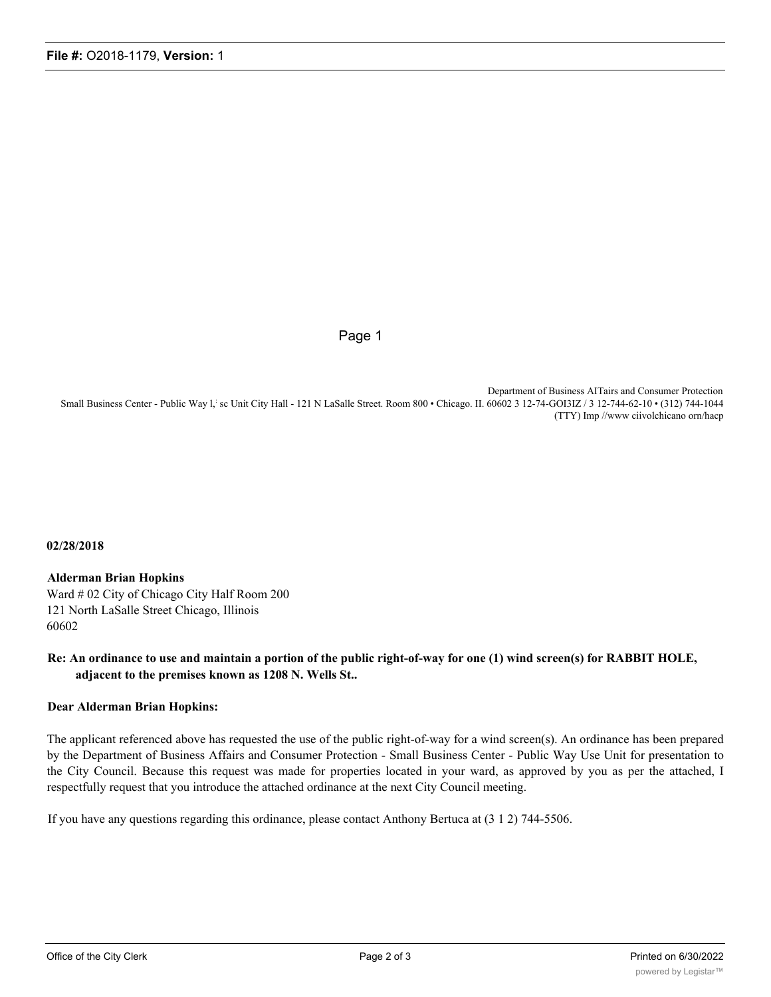Page 1

Department of Business AITairs and Consumer Protection Small Business Center - Public Way l,: sc Unit City Hall - 121 N LaSalle Street. Room 800 • Chicago. II. 60602 3 12-74-GOI3IZ / 3 12-744-62-10 • (312) 744-1044 (TTY) Imp //www ciivolchicano orn/hacp

#### **02/28/2018**

#### **Alderman Brian Hopkins**

Ward # 02 City of Chicago City Half Room 200 121 North LaSalle Street Chicago, Illinois 60602

## **Re: An ordinance to use and maintain a portion of the public right-of-way for one (1) wind screen(s) for RABBIT HOLE, adjacent to the premises known as 1208 N. Wells St..**

### **Dear Alderman Brian Hopkins:**

The applicant referenced above has requested the use of the public right-of-way for a wind screen(s). An ordinance has been prepared by the Department of Business Affairs and Consumer Protection - Small Business Center - Public Way Use Unit for presentation to the City Council. Because this request was made for properties located in your ward, as approved by you as per the attached, I respectfully request that you introduce the attached ordinance at the next City Council meeting.

If you have any questions regarding this ordinance, please contact Anthony Bertuca at (3 1 2) 744-5506.